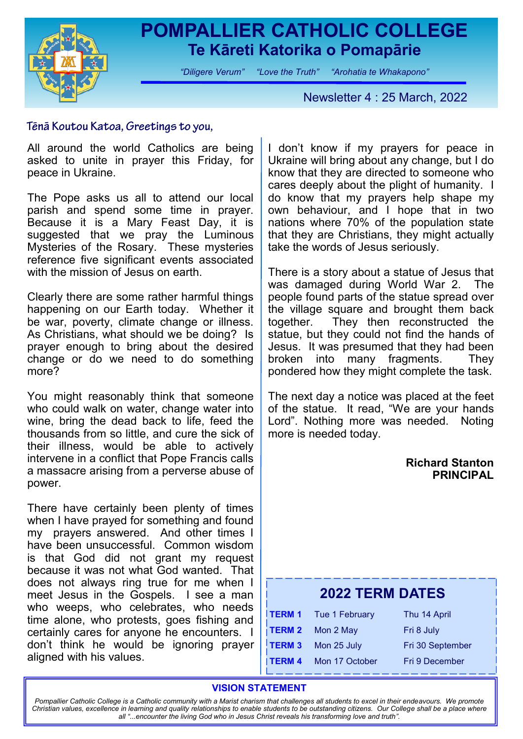

## **POMPALLIER CATHOLIC COLLEGE Te Kāreti Katorika o Pomapārie**

*"Diligere Verum" "Love the Truth" "Arohatia te Whakapono"*

Newsletter 4 : 25 March, 2022

### Tēnā Koutou Katoa, Greetings to you,

All around the world Catholics are being asked to unite in prayer this Friday, for peace in Ukraine.

The Pope asks us all to attend our local parish and spend some time in prayer. Because it is a Mary Feast Day, it is suggested that we pray the Luminous Mysteries of the Rosary. These mysteries reference five significant events associated with the mission of Jesus on earth.

Clearly there are some rather harmful things happening on our Earth today. Whether it be war, poverty, climate change or illness. As Christians, what should we be doing? Is prayer enough to bring about the desired change or do we need to do something more?

You might reasonably think that someone who could walk on water, change water into wine, bring the dead back to life, feed the thousands from so little, and cure the sick of their illness, would be able to actively intervene in a conflict that Pope Francis calls a massacre arising from a perverse abuse of power.

There have certainly been plenty of times when I have prayed for something and found my prayers answered. And other times I have been unsuccessful. Common wisdom is that God did not grant my request because it was not what God wanted. That does not always ring true for me when I meet Jesus in the Gospels. I see a man who weeps, who celebrates, who needs time alone, who protests, goes fishing and certainly cares for anyone he encounters. I don't think he would be ignoring prayer aligned with his values.

I don't know if my prayers for peace in Ukraine will bring about any change, but I do know that they are directed to someone who cares deeply about the plight of humanity. I do know that my prayers help shape my own behaviour, and I hope that in two nations where 70% of the population state that they are Christians, they might actually take the words of Jesus seriously.

There is a story about a statue of Jesus that was damaged during World War 2. The people found parts of the statue spread over the village square and brought them back together. They then reconstructed the statue, but they could not find the hands of Jesus. It was presumed that they had been broken into many fragments. They pondered how they might complete the task.

The next day a notice was placed at the feet of the statue. It read, "We are your hands Lord". Nothing more was needed. Noting more is needed today.

### **Richard Stanton PRINCIPAL**

## **2022 TERM DATES**

|               | <b>TERM 1</b> Tue 1 February | Thu 14 April     |
|---------------|------------------------------|------------------|
|               | TERM 2 Mon 2 May             | Fri 8 July       |
| <b>TERM 3</b> | Mon 25 July                  | Fri 30 September |
| <b>TERM 4</b> | Mon 17 October               | Fri 9 December   |

### **VISION STATEMENT**

*Pompallier Catholic College is a Catholic community with a Marist charism that challenges all students to excel in their endeavours. We promote Christian values, excellence in learning and quality relationships to enable students to be outstanding citizens. Our College shall be a place where all "...encounter the living God who in Jesus Christ reveals his transforming love and truth".*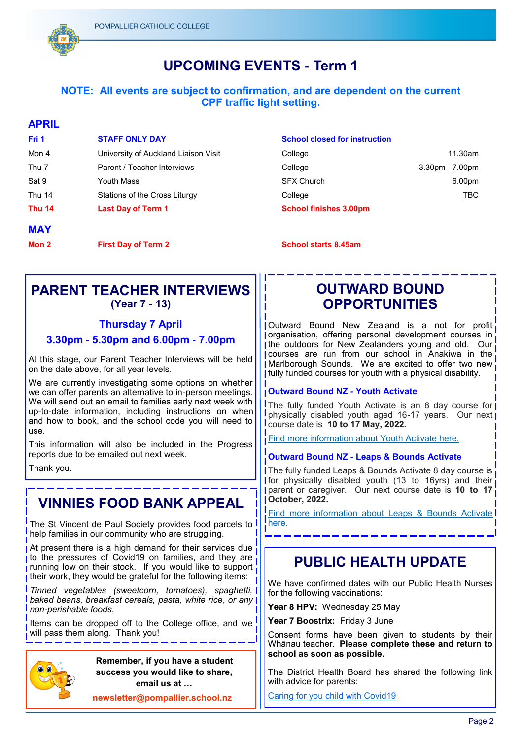

## **UPCOMING EVENTS - Term 1**

### **NOTE: All events are subject to confirmation, and are dependent on the current CPF traffic light setting.**

#### **APRIL**

| Fri 1         | <b>STAFF ONLY DAY</b>                | <b>School closed for instri</b> |
|---------------|--------------------------------------|---------------------------------|
| Mon 4         | University of Auckland Liaison Visit | College                         |
| Thu 7         | Parent / Teacher Interviews          | College                         |
| Sat 9         | Youth Mass                           | <b>SFX Church</b>               |
| Thu 14        | Stations of the Cross Liturgy        | College                         |
| <b>Thu 14</b> | <b>Last Day of Term 1</b>            | <b>School finishes 3.00pm</b>   |
| <b>MAY</b>    |                                      |                                 |
| Mon 2         | <b>First Day of Term 2</b>           | <b>School starts 8.45am</b>     |

#### **School closed for instruction**

| Thu 14           | <b>Last Day of Term 1</b>            | <b>School finishes 3.00pm</b> |                 |
|------------------|--------------------------------------|-------------------------------|-----------------|
| Thu 14           | Stations of the Cross Liturgy        | College                       | TBC             |
| Sat 9            | Youth Mass                           | <b>SFX Church</b>             | 6.00pm          |
| Thu <sub>7</sub> | Parent / Teacher Interviews          | College                       | 3.30pm - 7.00pm |
| Mon 4            | University of Auckland Liaison Visit | College                       | 11.30am         |

### **PARENT TEACHER INTERVIEWS (Year 7 - 13)**

### **Thursday 7 April**

### **3.30pm - 5.30pm and 6.00pm - 7.00pm**

At this stage, our Parent Teacher Interviews will be held on the date above, for all year levels.

We are currently investigating some options on whether we can offer parents an alternative to in-person meetings. We will send out an email to families early next week with up-to-date information, including instructions on when and how to book, and the school code you will need to use.

This information will also be included in the Progress reports due to be emailed out next week.

Thank you.

## **VINNIES FOOD BANK APPEAL**

The St Vincent de Paul Society provides food parcels to help families in our community who are struggling.

At present there is a high demand for their services due to the pressures of Covid19 on families, and they are running low on their stock. If you would like to support their work, they would be grateful for the following items:

*Tinned vegetables (sweetcorn, tomatoes), spaghetti, baked beans, breakfast cereals, pasta, white rice*, *or any non-perishable foods.*

Items can be dropped off to the College office, and we will pass them along. Thank you!



 **Remember, if you have a student success you would like to share, email us at …**

**newsletter@pompallier.school.nz**

## **OUTWARD BOUND OPPORTUNITIES**

Outward Bound New Zealand is a not for profit organisation, offering personal development courses in the outdoors for New Zealanders young and old. Our courses are run from our school in Anakiwa in the Marlborough Sounds. We are excited to offer two new fully funded courses for youth with a physical disability.

### **Outward Bound NZ - Youth Activate**

The fully funded Youth Activate is an 8 day course for physically disabled youth aged 16-17 years. Our next course date is **10 to 17 May, 2022.**

[Find more information about Youth Activate here.](https://www.outwardbound.co.nz/courses/youth-activate/)

#### **Outward Bound NZ - Leaps & Bounds Activate**

The fully funded Leaps & Bounds Activate 8 day course is **Ifor physically disabled youth (13 to 16yrs) and their** parent or caregiver. Our next course date is **10 to 17 October, 2022.**

[Find more information about Leaps & Bounds Activate](https://www.outwardbound.co.nz/courses/leaps-and-bounds-activate/)  [here.](https://www.outwardbound.co.nz/courses/leaps-and-bounds-activate/)

## **PUBLIC HEALTH UPDATE**

We have confirmed dates with our Public Health Nurses for the following vaccinations:

**Year 8 HPV:** Wednesday 25 May

Year 7 Boostrix: Friday 3 June

Consent forms have been given to students by their Whānau teacher. **Please complete these and return to school as soon as possible.**

The District Health Board has shared the following link with advice for parents:

[Caring for you child with Covid19](https://www.kidshealth.org.nz/covid-19-caring-child-covid-19)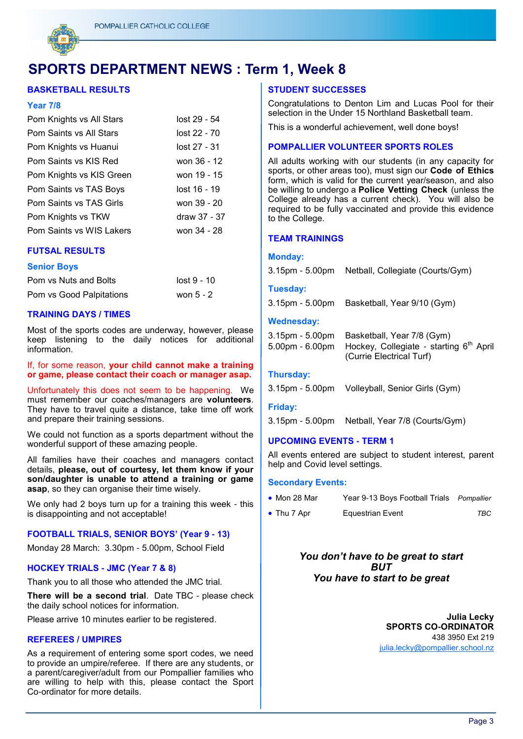

## **SPORTS DEPARTMENT NEWS : Term 1, Week 8**

#### **BASKETBALL RESULTS**

#### **Year 7/8**

| Pom Knights vs All Stars | lost 29 - 54 |
|--------------------------|--------------|
| Pom Saints vs All Stars  | lost 22 - 70 |
| Pom Knights vs Huanui    | lost 27 - 31 |
| Pom Saints vs KIS Red    | won 36 - 12  |
| Pom Knights vs KIS Green | won 19 - 15  |
| Pom Saints vs TAS Boys   | lost 16 - 19 |
| Pom Saints vs TAS Girls  | won 39 - 20  |
| Pom Knights vs TKW       | draw 37 - 37 |
| Pom Saints vs WIS Lakers | won 34 - 28  |

#### **FUTSAL RESULTS**

#### **Senior Boys**

| Pom vs Nuts and Bolts    | lost 9 - 10 |
|--------------------------|-------------|
| Pom vs Good Palpitations | won $5 - 2$ |

#### **TRAINING DAYS / TIMES**

Most of the sports codes are underway, however, please keep listening to the daily notices for additional information.

If, for some reason, **your child cannot make a training or game, please contact their coach or manager asap.** 

Unfortunately this does not seem to be happening. We must remember our coaches/managers are **volunteers**. They have to travel quite a distance, take time off work and prepare their training sessions.

We could not function as a sports department without the wonderful support of these amazing people.

All families have their coaches and managers contact details, **please, out of courtesy, let them know if your son/daughter is unable to attend a training or game asap**, so they can organise their time wisely.

We only had 2 boys turn up for a training this week - this is disappointing and not acceptable!

#### **FOOTBALL TRIALS, SENIOR BOYS' (Year 9 - 13)**

Monday 28 March: 3.30pm - 5.00pm, School Field

#### **HOCKEY TRIALS - JMC (Year 7 & 8)**

Thank you to all those who attended the JMC trial*.* 

**There will be a second trial**. Date TBC - please check the daily school notices for information.

Please arrive 10 minutes earlier to be registered.

#### **REFEREES / UMPIRES**

As a requirement of entering some sport codes, we need to provide an umpire/referee. If there are any students, or a parent/caregiver/adult from our Pompallier families who are willing to help with this, please contact the Sport Co-ordinator for more details.

#### **STUDENT SUCCESSES**

Congratulations to Denton Lim and Lucas Pool for their selection in the Under 15 Northland Basketball team.

This is a wonderful achievement, well done boys!

#### **POMPALLIER VOLUNTEER SPORTS ROLES**

All adults working with our students (in any capacity for sports, or other areas too), must sign our **Code of Ethics**  form, which is valid for the current year/season, and also be willing to undergo a **Police Vetting Check** (unless the College already has a current check). You will also be required to be fully vaccinated and provide this evidence to the College.

#### **TEAM TRAININGS**

#### **Monday:**

| 3.15pm - 5.00pm Netball, Collegiate (Courts/Gym) |  |  |  |  |  |
|--------------------------------------------------|--|--|--|--|--|
|--------------------------------------------------|--|--|--|--|--|

#### **Tuesday:**

3.15pm - 5.00pm Basketball, Year 9/10 (Gym)

#### **Wednesday:**

| 3.15pm - 5.00pm Basketball, Year 7/8 (Gym)                          |
|---------------------------------------------------------------------|
| 5.00pm - 6.00pm Hockey, Collegiate - starting 6 <sup>th</sup> April |
| (Currie Electrical Turf)                                            |

#### **Thursday:**

|  | 3.15pm - 5.00pm Volleyball, Senior Girls (Gym) |  |
|--|------------------------------------------------|--|
|--|------------------------------------------------|--|

#### **Friday:**

3.15pm - 5.00pm Netball, Year 7/8 (Courts/Gym)

#### **UPCOMING EVENTS - TERM 1**

All events entered are subject to student interest, parent help and Covid level settings.

#### **Secondary Events:**

| $\bullet$ Mon 28 Mar | Year 9-13 Boys Football Trials Pompallier |     |
|----------------------|-------------------------------------------|-----|
| $\bullet$ Thu 7 Apr  | Equestrian Event                          | TBC |

*You don't have to be great to start BUT You have to start to be great*

> **Julia Lecky SPORTS CO-ORDINATOR** 438 3950 Ext 219 [julia.lecky@pompallier.school.nz](mailto:chantelle.yorke@pompallier.school.nz)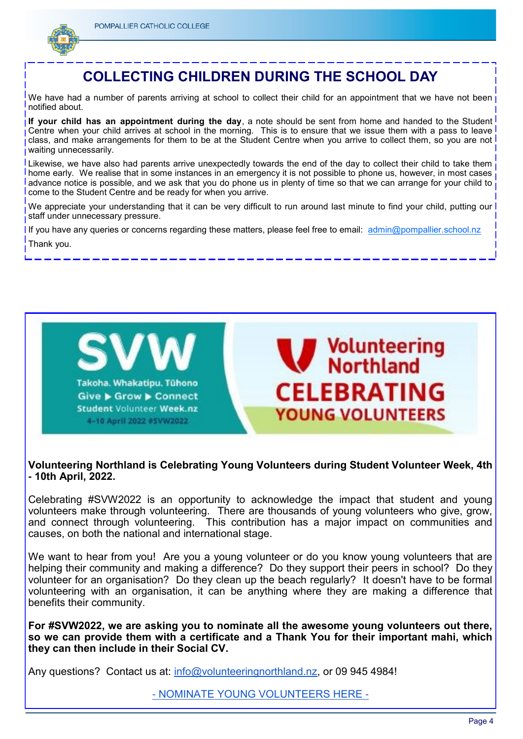

## **COLLECTING CHILDREN DURING THE SCHOOL DAY**

We have had a number of parents arriving at school to collect their child for an appointment that we have not been notified about.

**If your child has an appointment during the day**, a note should be sent from home and handed to the Student Centre when your child arrives at school in the morning. This is to ensure that we issue them with a pass to leave class, and make arrangements for them to be at the Student Centre when you arrive to collect them, so you are not waiting unnecessarily.

Likewise, we have also had parents arrive unexpectedly towards the end of the day to collect their child to take them home early. We realise that in some instances in an emergency it is not possible to phone us, however, in most cases advance notice is possible, and we ask that you do phone us in plenty of time so that we can arrange for your child to come to the Student Centre and be ready for when you arrive.

We appreciate your understanding that it can be very difficult to run around last minute to find your child, putting our staff under unnecessary pressure.

If you have any queries or concerns regarding these matters, please feel free to email: [admin@pompallier.school.nz](mailto:admin@pompallier.school.nz) Thank you.



### **Volunteering Northland is Celebrating Young Volunteers during Student Volunteer Week, 4th - 10th April, 2022.**

Celebrating #SVW2022 is an opportunity to acknowledge the impact that student and young volunteers make through volunteering. There are thousands of young volunteers who give, grow, and connect through volunteering. This contribution has a major impact on communities and causes, on both the national and international stage.

We want to hear from you! Are you a young volunteer or do you know young volunteers that are helping their community and making a difference? Do they support their peers in school? Do they volunteer for an organisation? Do they clean up the beach regularly? It doesn't have to be formal volunteering with an organisation, it can be anything where they are making a difference that benefits their community.

**For #SVW2022, we are asking you to nominate all the awesome young volunteers out there, so we can provide them with a certificate and a Thank You for their important mahi, which they can then include in their Social CV.**

Any questions? Contact us at: [info@volunteeringnorthland.nz,](mailto:info@volunteeringnorthland.nz) or 09 945 4984!

- [NOMINATE YOUNG VOLUNTEERS HERE -](https://docs.google.com/forms/d/e/1FAIpQLScyxmiS9VwwdLpIJIKiR3s2bkE7-FeICezoTa7RbrcDVxtMvQ/viewform)